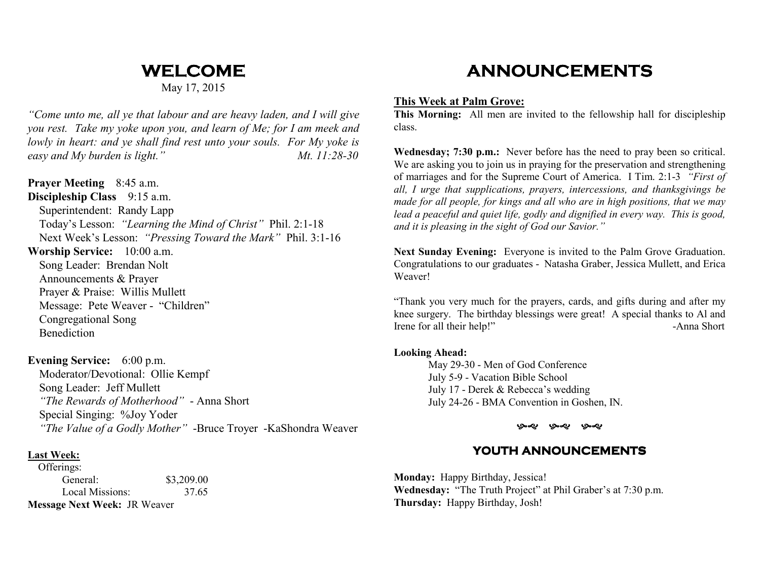# **WELCOME**

May 17, 2015

*"Come unto me, all ye that labour and are heavy laden, and I will give you rest. Take my yoke upon you, and learn of Me; for I am meek and lowly in heart: and ye shall find rest unto your souls. For My yoke is* easy and My burden is light." Mt. 11:28-30

**Prayer Meeting** 8:45 a.m. **Discipleship Class** 9:15 a.m. Superintendent: Randy Lapp Today's Lesson: *"Learning the Mind of Christ"* Phil. 2:1-18 Next Week's Lesson: *"Pressing Toward the Mark"* Phil. 3:1-16 **Worship Service:** 10:00 a.m.

 Song Leader: Brendan Nolt Announcements & Prayer Prayer & Praise: Willis Mullett Message: Pete Weaver - "Children" Congregational Song Benediction

### **Evening Service:** 6:00 p.m.

 Moderator/Devotional: Ollie Kempf Song Leader: Jeff Mullett *"The Rewards of Motherhood"* - Anna Short Special Singing: %Joy Yoder *"The Value of a Godly Mother"* -Bruce Troyer -KaShondra Weaver

### **Last Week:**

 Offerings: General: \$3,209.00 37.65 Local Missions: **Message Next Week:** JR Weaver

## **ANNOUNCEMENTS**

### **This Week at Palm Grove:**

 **This Morning:** All men are invited to the fellowship hall for discipleship class.

**Wednesday; 7:30 p.m.:** Never before has the need to pray been so critical. We are asking you to join us in praying for the preservation and strengthening of marriages and for the Supreme Court of America. I Tim. 2:1-3 *"First of all, I urge that supplications, prayers, intercessions, and thanksgivings be made for all people, for kings and all who are in high positions, that we may* lead a peaceful and quiet life, godly and dignified in every way. This is good, *and it is pleasing in the sight of God our Savior."*

**Next Sunday Evening:** Everyone is invited to the Palm Grove Graduation. Congratulations to our graduates - Natasha Graber, Jessica Mullett, and Erica Weaver!

"Thank you very much for the prayers, cards, and gifts during and after my knee surgery. The birthday blessings were great! A special thanks to Al and Irene for all their help!" -Anna Short

#### **Looking Ahead:**

 May 29-30 - Men of God Conference July 5-9 - Vacation Bible School July 17 - Derek & Rebecca's wedding July 24-26 - BMA Convention in Goshen, IN.

> بصبوب به به پ - 96

### **YOUTH ANNOUNCEMENTS YOUTH ANNOUNCEMENTS**

**Monday:** Happy Birthday, Jessica! **Wednesday:** "The Truth Project" at Phil Graber's at 7:30 p.m. **Thursday:** Happy Birthday, Josh!